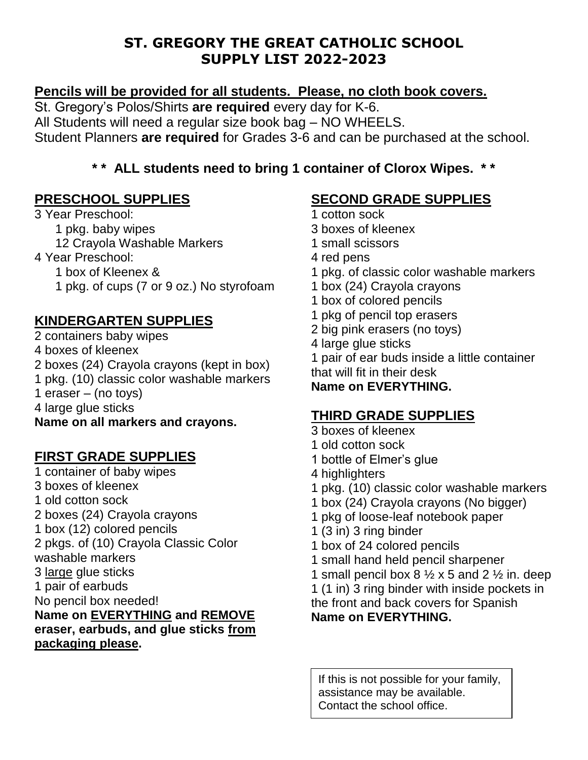## **ST. GREGORY THE GREAT CATHOLIC SCHOOL SUPPLY LIST 2022-2023**

### **Pencils will be provided for all students. Please, no cloth book covers.**

St. Gregory's Polos/Shirts **are required** every day for K-6. All Students will need a regular size book bag – NO WHEELS. Student Planners **are required** for Grades 3-6 and can be purchased at the school.

## **\* \* ALL students need to bring 1 container of Clorox Wipes. \* \***

### **PRESCHOOL SUPPLIES**

3 Year Preschool: 1 pkg. baby wipes 12 Crayola Washable Markers 4 Year Preschool: 1 box of Kleenex & 1 pkg. of cups (7 or 9 oz.) No styrofoam

# **KINDERGARTEN SUPPLIES**

2 containers baby wipes 4 boxes of kleenex 2 boxes (24) Crayola crayons (kept in box) 1 pkg. (10) classic color washable markers 1 eraser – (no toys)

4 large glue sticks

#### **Name on all markers and crayons.**

#### **FIRST GRADE SUPPLIES**

1 container of baby wipes 3 boxes of kleenex 1 old cotton sock 2 boxes (24) Crayola crayons 1 box (12) colored pencils 2 pkgs. of (10) Crayola Classic Color washable markers 3 large glue sticks 1 pair of earbuds No pencil box needed! **Name on EVERYTHING and REMOVE eraser, earbuds, and glue sticks from packaging please.**

# **SECOND GRADE SUPPLIES**

- 1 cotton sock 3 boxes of kleenex 1 small scissors 4 red pens 1 pkg. of classic color washable markers 1 box (24) Crayola crayons 1 box of colored pencils 1 pkg of pencil top erasers 2 big pink erasers (no toys) 4 large glue sticks 1 pair of ear buds inside a little container that will fit in their desk **Name on EVERYTHING. THIRD GRADE SUPPLIES**
- 3 boxes of kleenex
- 1 old cotton sock
- 1 bottle of Elmer's glue
- 4 highlighters
- 1 pkg. (10) classic color washable markers
- 1 box (24) Crayola crayons (No bigger)
- 1 pkg of loose-leaf notebook paper
- 1 (3 in) 3 ring binder
- 1 box of 24 colored pencils
- 1 small hand held pencil sharpener
- 1 small pencil box  $8\frac{1}{2}$  x 5 and 2  $\frac{1}{2}$  in. deep

1 (1 in) 3 ring binder with inside pockets in the front and back covers for Spanish **Name on EVERYTHING.**

If this is not possible for your family, assistance may be available. Contact the school office.